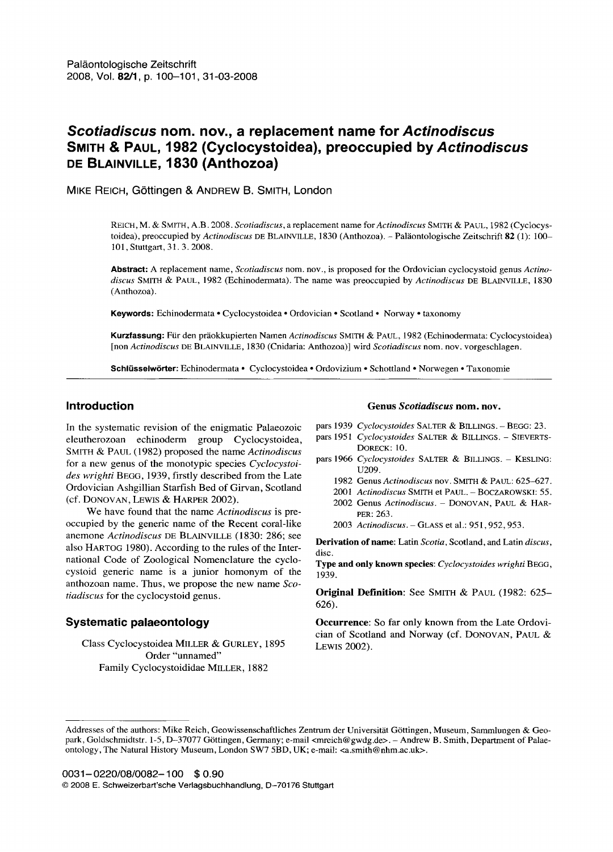# *Scotiadiscus* **nom. nov., a replacement name for** *Actinodiscus*  **SMITH & PAUL, 1982 (Cyclocystoidea), preoccupied by** *Actinodiscus*  **DE BLAINVILLE, 1830 (Anthozoa)**

MIKE REICH, G6ttingen & ANDREW B. SMITH, London

REICH, M. & SMITH, A.B. 2008. *Scotiadiscus,* a replacement name *forActinodiscus* SMITH & PAUL, 1982 (Cyclocystoidea), preoccupied by *Actinodiscus* DE BLAINVILLE, 1830 (Anthozoa). - Paläontologische Zeitschrift 82 (1): 100-101, Stuttgart, 31.3. 2008.

**Abstract:** A replacement name, *Scotiadiscus* nora. nov., is proposed for the Ordovician cyclocystoid genus *Actino*discus SMITH & PAUL, 1982 (Echinodermata). The name was preoccupied by *Actinodiscus* DE BLAINVILLE, 1830 (Anthozoa).

**Keywords:** Echinodermata ° Cyclocystoidea ° Ordovician ° Scotland ° Norway ° taxonomy

Kurzfassung: Für den präokkupierten Namen *Actinodiscus* SMITH & PAUL, 1982 (Echinodermata: Cyclocystoidea) [non *Actinodiscus* DE BLAINVILLE, 1830 (Cnidaria: Anthozoa)] wird *Scotiadiscus* nom. nov. vorgeschlagen.

**Schltisselw6rter:** Echinodermata • Cyclocystoidea • Ordovizium • Schottland ° Norwegen • Taxonomie

#### **Introduction**

In the systematic revision of the enigmatic Palaeozoic eleutherozoan echinoderm group Cyclocystoidea, SMITH & PAUL (1982) proposed the name *Actinodiscus*  for a new genus of the monotypic species *Cyclocystoides wrighti* BEGG, 1939, firstly described from the Late Ordovician Ashgillian Starfish Bed of Girvan, Scotland (cf. DONOVAN, LEWIS & HARPER 2002).

We have found that the name *Actinodiscus* is preoccupied by the generic name of the Recent coral-like anemone *Actinodiscus* DE BLAINVILLE (1830: 286; see also HARTOG 1980). According to the rules of the International Code of Zoological Nomenclature the cyclocystoid generic name is a junior homonym of the anthozoan name. Thus, we propose the new name *Scotiadiscus* for the cyclocystoid genus.

## **Systematic palaeontology**

Class Cyclocystoidea MILLER & GURLEY, 1895 Order "unnamed" Family Cyclocystoididae MILLER, 1882

#### **Genus** *Scotiadiscus* **nom. nov.**

- pars 1939 *Cyclocystoides* SALTER & BILLINGS. -- BEGG: 23.
- pars 1951 *Cyclocystoides* SALTER & BILLINGS. SIEVERTS-
- DORECK: 10.
- pars 1966 *Cyclocystoides* SALTER & BILLINGS. -- KESLING: U209.
	- 1982 Genus *Actinodiscus* nov. SMITH & PAUL: 625-627.
	- 2001 *Actinodiscus* SMITH et PAUL. BOCZAROWSKI: 55.
	- 2002 Genus *Actinodiscus.* DONOVAN, PAUL & HAR-PER: 263.
	- 2003 *Actinodiscus.* GLASS et al.: 951,952,953.

**Derivation of name:** Latin *Scotia,* Scotland, and Latin *discus,*  disc.

**Type and only known species:** *Cyclocystoides wrighti* BEGG, 1939.

**Original Definition:** See SMITH & PAUL (1982: 625– 626).

**Occurrence:** So far only known from the Late Ordovician of Scotland and Norway (cf. DONOVAN, PAUL & LEWIS 2002).

Addresses of the authors: Mike Reich, Geowissenschaftliches Zentrum der Universität Göttingen, Museum, Sammlungen & Geopark, Goldschmidtstr. 1-5, D-37077 Göttingen, Germany; e-mail <mreich@gwdg.de>. - Andrew B. Smith, Department of Palaeontology, The Natural History Museum, London SW7 5BD, UK; e-mail: <a.smith@nhm.ac.uk>.